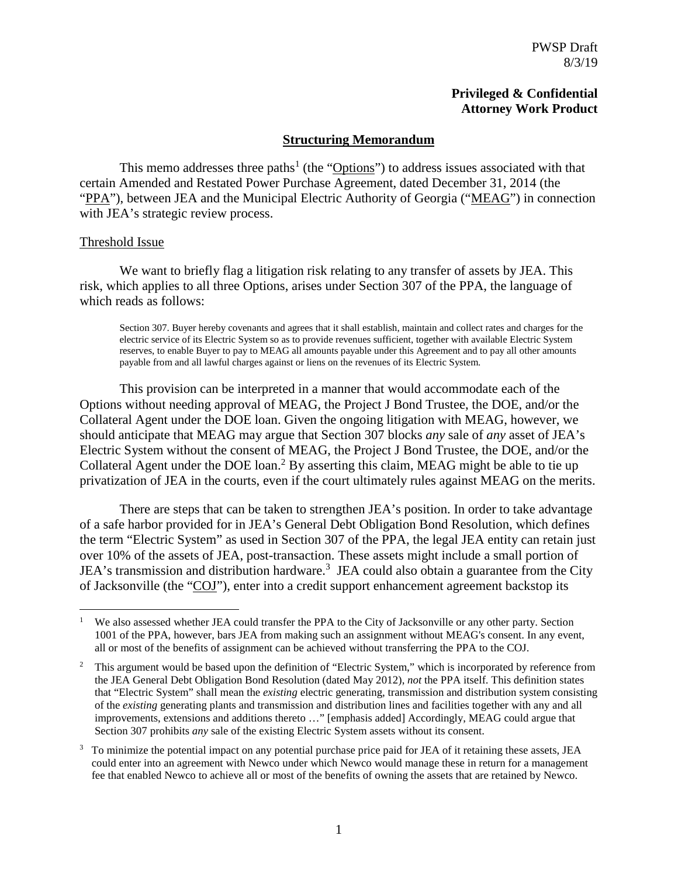## **Privileged & Confidential Attorney Work Product**

#### **Structuring Memorandum**

This memo addresses three paths<sup>1</sup> (the " $\overline{\text{Options}}$ ") to address issues associated with that certain Amended and Restated Power Purchase Agreement, dated December 31, 2014 (the "PPA"), between JEA and the Municipal Electric Authority of Georgia ("MEAG") in connection with JEA's strategic review process.

#### Threshold Issue

 $\overline{a}$ 

We want to briefly flag a litigation risk relating to any transfer of assets by JEA. This risk, which applies to all three Options, arises under Section 307 of the PPA, the language of which reads as follows:

Section 307. Buyer hereby covenants and agrees that it shall establish, maintain and collect rates and charges for the electric service of its Electric System so as to provide revenues sufficient, together with available Electric System reserves, to enable Buyer to pay to MEAG all amounts payable under this Agreement and to pay all other amounts payable from and all lawful charges against or liens on the revenues of its Electric System.

This provision can be interpreted in a manner that would accommodate each of the Options without needing approval of MEAG, the Project J Bond Trustee, the DOE, and/or the Collateral Agent under the DOE loan. Given the ongoing litigation with MEAG, however, we should anticipate that MEAG may argue that Section 307 blocks *any* sale of *any* asset of JEA's Electric System without the consent of MEAG, the Project J Bond Trustee, the DOE, and/or the Collateral Agent under the DOE loan.<sup>2</sup> By asserting this claim, MEAG might be able to tie up privatization of JEA in the courts, even if the court ultimately rules against MEAG on the merits.

There are steps that can be taken to strengthen JEA's position. In order to take advantage of a safe harbor provided for in JEA's General Debt Obligation Bond Resolution, which defines the term "Electric System" as used in Section 307 of the PPA, the legal JEA entity can retain just over 10% of the assets of JEA, post-transaction. These assets might include a small portion of JEA's transmission and distribution hardware.<sup>3</sup> JEA could also obtain a guarantee from the City of Jacksonville (the "COJ"), enter into a credit support enhancement agreement backstop its

<sup>1</sup> We also assessed whether JEA could transfer the PPA to the City of Jacksonville or any other party. Section 1001 of the PPA, however, bars JEA from making such an assignment without MEAG's consent. In any event, all or most of the benefits of assignment can be achieved without transferring the PPA to the COJ.

<sup>2</sup> This argument would be based upon the definition of "Electric System," which is incorporated by reference from the JEA General Debt Obligation Bond Resolution (dated May 2012), *not* the PPA itself. This definition states that "Electric System" shall mean the *existing* electric generating, transmission and distribution system consisting of the *existing* generating plants and transmission and distribution lines and facilities together with any and all improvements, extensions and additions thereto …" [emphasis added] Accordingly, MEAG could argue that Section 307 prohibits *any* sale of the existing Electric System assets without its consent.

<sup>3</sup> To minimize the potential impact on any potential purchase price paid for JEA of it retaining these assets, JEA could enter into an agreement with Newco under which Newco would manage these in return for a management fee that enabled Newco to achieve all or most of the benefits of owning the assets that are retained by Newco.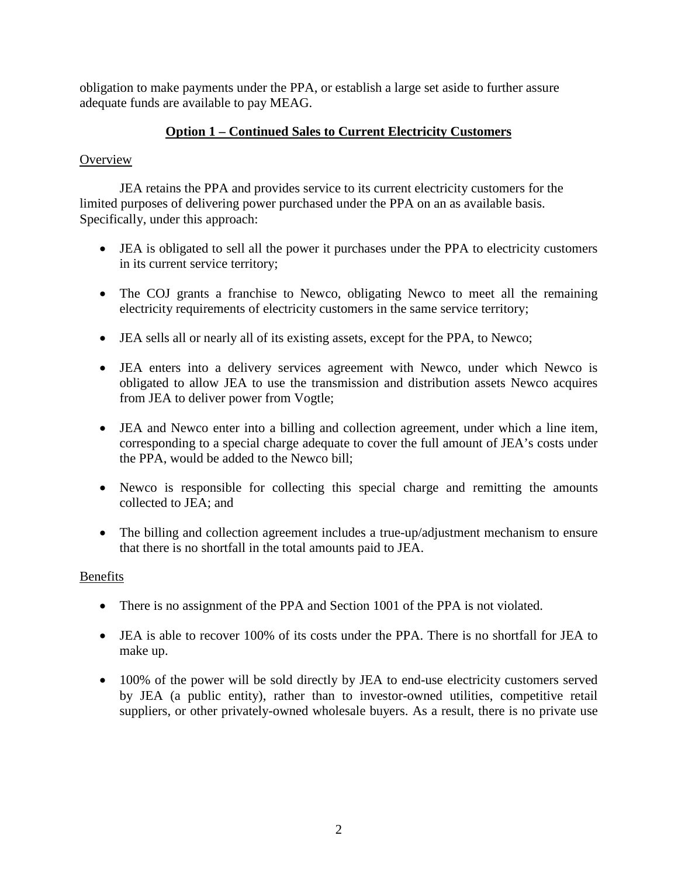obligation to make payments under the PPA, or establish a large set aside to further assure adequate funds are available to pay MEAG.

# **Option 1 – Continued Sales to Current Electricity Customers**

## **Overview**

JEA retains the PPA and provides service to its current electricity customers for the limited purposes of delivering power purchased under the PPA on an as available basis. Specifically, under this approach:

- JEA is obligated to sell all the power it purchases under the PPA to electricity customers in its current service territory;
- The COJ grants a franchise to Newco, obligating Newco to meet all the remaining electricity requirements of electricity customers in the same service territory;
- JEA sells all or nearly all of its existing assets, except for the PPA, to Newco;
- JEA enters into a delivery services agreement with Newco, under which Newco is obligated to allow JEA to use the transmission and distribution assets Newco acquires from JEA to deliver power from Vogtle;
- JEA and Newco enter into a billing and collection agreement, under which a line item, corresponding to a special charge adequate to cover the full amount of JEA's costs under the PPA, would be added to the Newco bill;
- Newco is responsible for collecting this special charge and remitting the amounts collected to JEA; and
- The billing and collection agreement includes a true-up/adjustment mechanism to ensure that there is no shortfall in the total amounts paid to JEA.

# Benefits

- There is no assignment of the PPA and Section 1001 of the PPA is not violated.
- JEA is able to recover 100% of its costs under the PPA. There is no shortfall for JEA to make up.
- 100% of the power will be sold directly by JEA to end-use electricity customers served by JEA (a public entity), rather than to investor-owned utilities, competitive retail suppliers, or other privately-owned wholesale buyers. As a result, there is no private use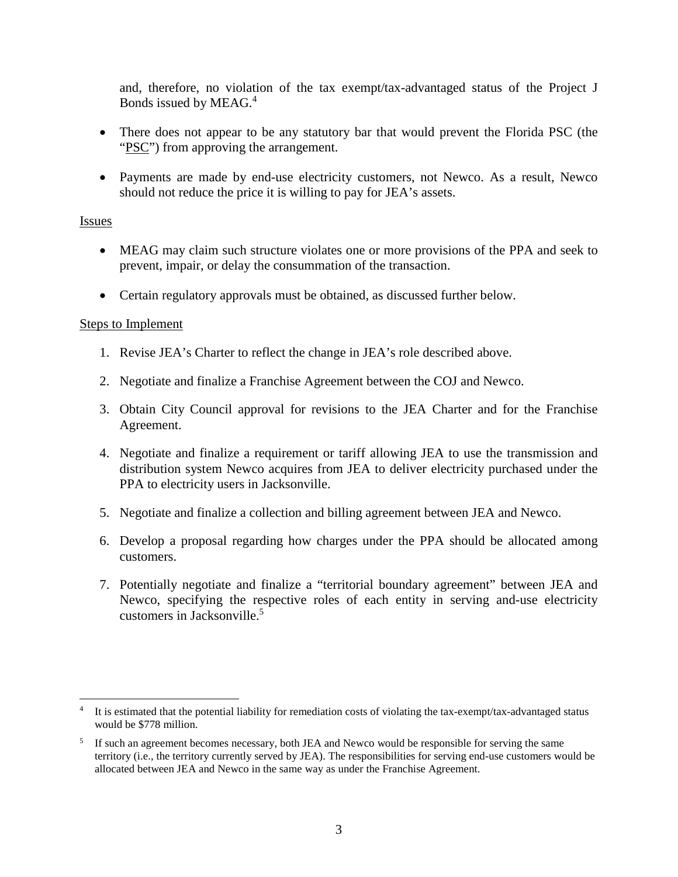and, therefore, no violation of the tax exempt/tax-advantaged status of the Project J Bonds issued by MEAG.<sup>4</sup>

- There does not appear to be any statutory bar that would prevent the Florida PSC (the "PSC") from approving the arrangement.
- Payments are made by end-use electricity customers, not Newco. As a result, Newco should not reduce the price it is willing to pay for JEA's assets.

## Issues

- MEAG may claim such structure violates one or more provisions of the PPA and seek to prevent, impair, or delay the consummation of the transaction.
- Certain regulatory approvals must be obtained, as discussed further below.

## Steps to Implement

- 1. Revise JEA's Charter to reflect the change in JEA's role described above.
- 2. Negotiate and finalize a Franchise Agreement between the COJ and Newco.
- 3. Obtain City Council approval for revisions to the JEA Charter and for the Franchise Agreement.
- 4. Negotiate and finalize a requirement or tariff allowing JEA to use the transmission and distribution system Newco acquires from JEA to deliver electricity purchased under the PPA to electricity users in Jacksonville.
- 5. Negotiate and finalize a collection and billing agreement between JEA and Newco.
- 6. Develop a proposal regarding how charges under the PPA should be allocated among customers.
- 7. Potentially negotiate and finalize a "territorial boundary agreement" between JEA and Newco, specifying the respective roles of each entity in serving and-use electricity customers in Jacksonville.<sup>5</sup>

 $\overline{a}$ 4 It is estimated that the potential liability for remediation costs of violating the tax-exempt/tax-advantaged status would be \$778 million.

<sup>5</sup> If such an agreement becomes necessary, both JEA and Newco would be responsible for serving the same territory (i.e., the territory currently served by JEA). The responsibilities for serving end-use customers would be allocated between JEA and Newco in the same way as under the Franchise Agreement.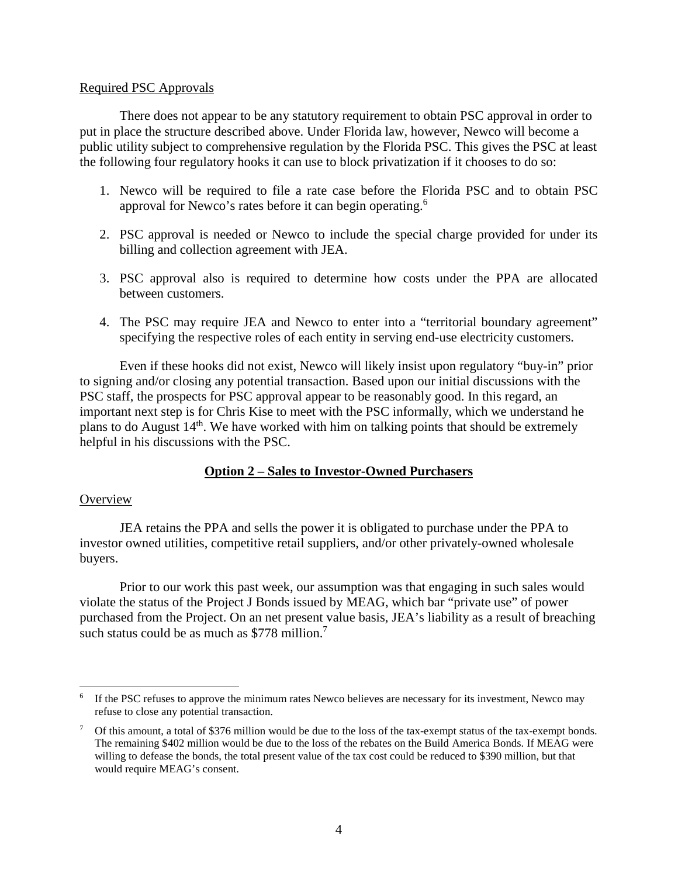#### Required PSC Approvals

There does not appear to be any statutory requirement to obtain PSC approval in order to put in place the structure described above. Under Florida law, however, Newco will become a public utility subject to comprehensive regulation by the Florida PSC. This gives the PSC at least the following four regulatory hooks it can use to block privatization if it chooses to do so:

- 1. Newco will be required to file a rate case before the Florida PSC and to obtain PSC approval for Newco's rates before it can begin operating.<sup>6</sup>
- 2. PSC approval is needed or Newco to include the special charge provided for under its billing and collection agreement with JEA.
- 3. PSC approval also is required to determine how costs under the PPA are allocated between customers.
- 4. The PSC may require JEA and Newco to enter into a "territorial boundary agreement" specifying the respective roles of each entity in serving end-use electricity customers.

Even if these hooks did not exist, Newco will likely insist upon regulatory "buy-in" prior to signing and/or closing any potential transaction. Based upon our initial discussions with the PSC staff, the prospects for PSC approval appear to be reasonably good. In this regard, an important next step is for Chris Kise to meet with the PSC informally, which we understand he plans to do August 14th. We have worked with him on talking points that should be extremely helpful in his discussions with the PSC.

# **Option 2 – Sales to Investor-Owned Purchasers**

## **Overview**

 $\overline{a}$ 

JEA retains the PPA and sells the power it is obligated to purchase under the PPA to investor owned utilities, competitive retail suppliers, and/or other privately-owned wholesale buyers.

Prior to our work this past week, our assumption was that engaging in such sales would violate the status of the Project J Bonds issued by MEAG, which bar "private use" of power purchased from the Project. On an net present value basis, JEA's liability as a result of breaching such status could be as much as \$778 million.<sup>7</sup>

<sup>&</sup>lt;sup>6</sup> If the PSC refuses to approve the minimum rates Newco believes are necessary for its investment, Newco may refuse to close any potential transaction.

<sup>&</sup>lt;sup>7</sup> Of this amount, a total of \$376 million would be due to the loss of the tax-exempt status of the tax-exempt bonds. The remaining \$402 million would be due to the loss of the rebates on the Build America Bonds. If MEAG were willing to defease the bonds, the total present value of the tax cost could be reduced to \$390 million, but that would require MEAG's consent.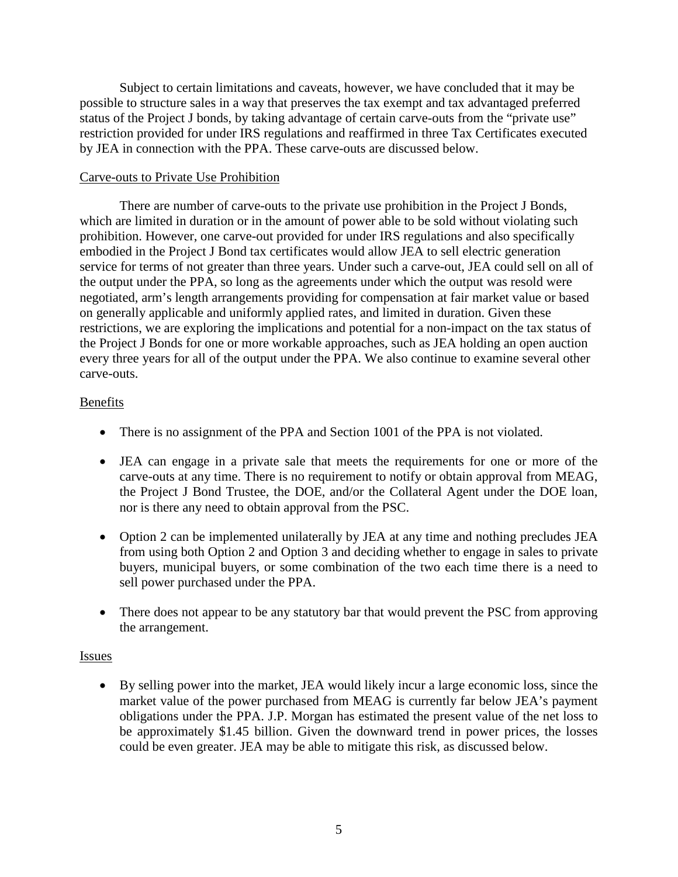Subject to certain limitations and caveats, however, we have concluded that it may be possible to structure sales in a way that preserves the tax exempt and tax advantaged preferred status of the Project J bonds, by taking advantage of certain carve-outs from the "private use" restriction provided for under IRS regulations and reaffirmed in three Tax Certificates executed by JEA in connection with the PPA. These carve-outs are discussed below.

## Carve-outs to Private Use Prohibition

There are number of carve-outs to the private use prohibition in the Project J Bonds, which are limited in duration or in the amount of power able to be sold without violating such prohibition. However, one carve-out provided for under IRS regulations and also specifically embodied in the Project J Bond tax certificates would allow JEA to sell electric generation service for terms of not greater than three years. Under such a carve-out, JEA could sell on all of the output under the PPA, so long as the agreements under which the output was resold were negotiated, arm's length arrangements providing for compensation at fair market value or based on generally applicable and uniformly applied rates, and limited in duration. Given these restrictions, we are exploring the implications and potential for a non-impact on the tax status of the Project J Bonds for one or more workable approaches, such as JEA holding an open auction every three years for all of the output under the PPA. We also continue to examine several other carve-outs.

#### Benefits

- There is no assignment of the PPA and Section 1001 of the PPA is not violated.
- JEA can engage in a private sale that meets the requirements for one or more of the carve-outs at any time. There is no requirement to notify or obtain approval from MEAG, the Project J Bond Trustee, the DOE, and/or the Collateral Agent under the DOE loan, nor is there any need to obtain approval from the PSC.
- Option 2 can be implemented unilaterally by JEA at any time and nothing precludes JEA from using both Option 2 and Option 3 and deciding whether to engage in sales to private buyers, municipal buyers, or some combination of the two each time there is a need to sell power purchased under the PPA.
- There does not appear to be any statutory bar that would prevent the PSC from approving the arrangement.

#### Issues

 By selling power into the market, JEA would likely incur a large economic loss, since the market value of the power purchased from MEAG is currently far below JEA's payment obligations under the PPA. J.P. Morgan has estimated the present value of the net loss to be approximately \$1.45 billion. Given the downward trend in power prices, the losses could be even greater. JEA may be able to mitigate this risk, as discussed below.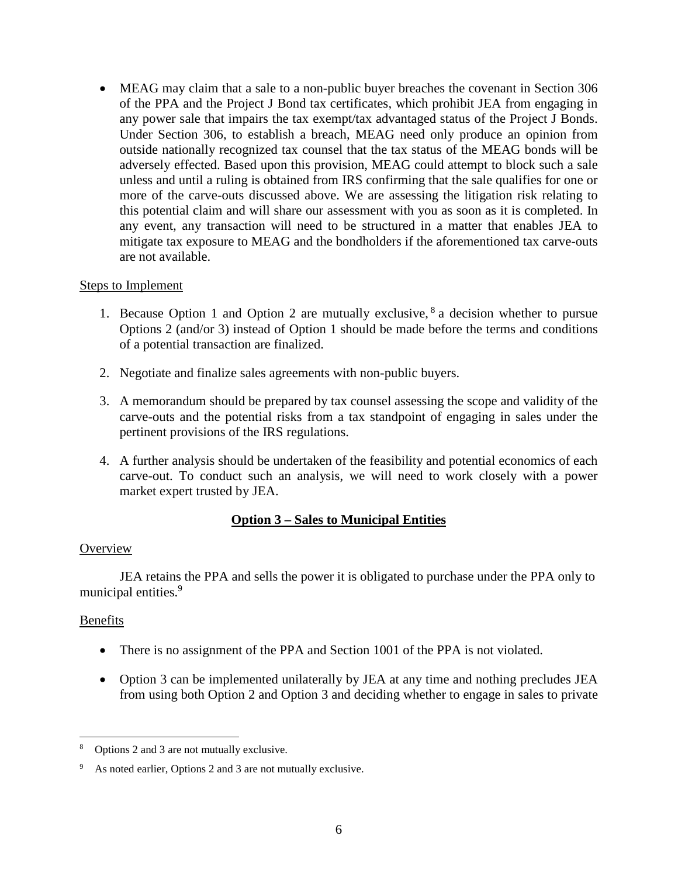MEAG may claim that a sale to a non-public buyer breaches the covenant in Section 306 of the PPA and the Project J Bond tax certificates, which prohibit JEA from engaging in any power sale that impairs the tax exempt/tax advantaged status of the Project J Bonds. Under Section 306, to establish a breach, MEAG need only produce an opinion from outside nationally recognized tax counsel that the tax status of the MEAG bonds will be adversely effected. Based upon this provision, MEAG could attempt to block such a sale unless and until a ruling is obtained from IRS confirming that the sale qualifies for one or more of the carve-outs discussed above. We are assessing the litigation risk relating to this potential claim and will share our assessment with you as soon as it is completed. In any event, any transaction will need to be structured in a matter that enables JEA to mitigate tax exposure to MEAG and the bondholders if the aforementioned tax carve-outs are not available.

## Steps to Implement

- 1. Because Option 1 and Option 2 are mutually exclusive,  $8a$  decision whether to pursue Options 2 (and/or 3) instead of Option 1 should be made before the terms and conditions of a potential transaction are finalized.
- 2. Negotiate and finalize sales agreements with non-public buyers.
- 3. A memorandum should be prepared by tax counsel assessing the scope and validity of the carve-outs and the potential risks from a tax standpoint of engaging in sales under the pertinent provisions of the IRS regulations.
- 4. A further analysis should be undertaken of the feasibility and potential economics of each carve-out. To conduct such an analysis, we will need to work closely with a power market expert trusted by JEA.

# **Option 3 – Sales to Municipal Entities**

## **Overview**

JEA retains the PPA and sells the power it is obligated to purchase under the PPA only to municipal entities.<sup>9</sup>

# Benefits

 $\overline{a}$ 

- There is no assignment of the PPA and Section 1001 of the PPA is not violated.
- Option 3 can be implemented unilaterally by JEA at any time and nothing precludes JEA from using both Option 2 and Option 3 and deciding whether to engage in sales to private

<sup>8</sup> Options 2 and 3 are not mutually exclusive.

<sup>9</sup> As noted earlier, Options 2 and 3 are not mutually exclusive.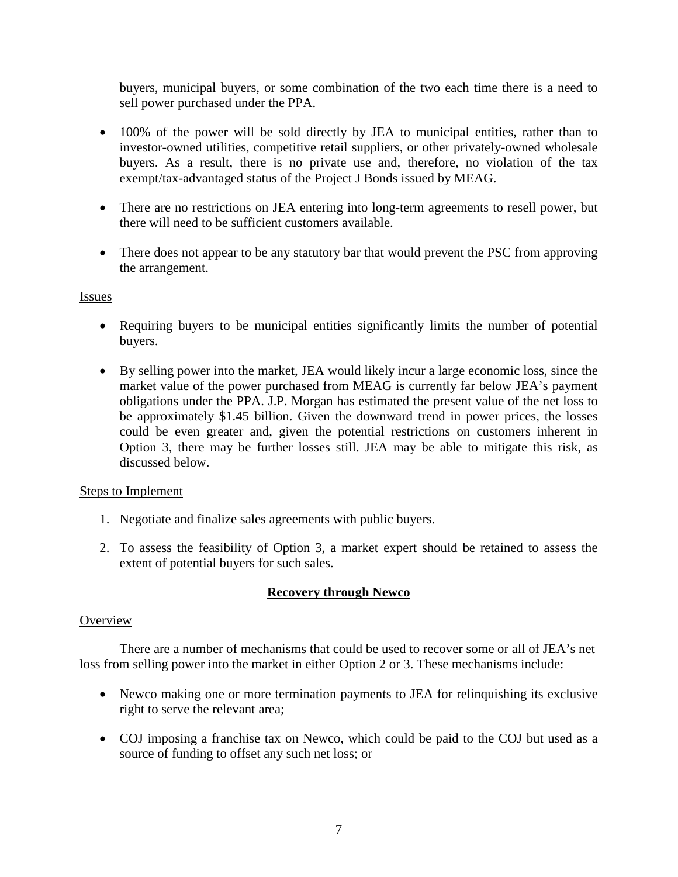buyers, municipal buyers, or some combination of the two each time there is a need to sell power purchased under the PPA.

- 100% of the power will be sold directly by JEA to municipal entities, rather than to investor-owned utilities, competitive retail suppliers, or other privately-owned wholesale buyers. As a result, there is no private use and, therefore, no violation of the tax exempt/tax-advantaged status of the Project J Bonds issued by MEAG.
- There are no restrictions on JEA entering into long-term agreements to resell power, but there will need to be sufficient customers available.
- There does not appear to be any statutory bar that would prevent the PSC from approving the arrangement.

## Issues

- Requiring buyers to be municipal entities significantly limits the number of potential buyers.
- By selling power into the market, JEA would likely incur a large economic loss, since the market value of the power purchased from MEAG is currently far below JEA's payment obligations under the PPA. J.P. Morgan has estimated the present value of the net loss to be approximately \$1.45 billion. Given the downward trend in power prices, the losses could be even greater and, given the potential restrictions on customers inherent in Option 3, there may be further losses still. JEA may be able to mitigate this risk, as discussed below.

# Steps to Implement

- 1. Negotiate and finalize sales agreements with public buyers.
- 2. To assess the feasibility of Option 3, a market expert should be retained to assess the extent of potential buyers for such sales.

# **Recovery through Newco**

## **Overview**

There are a number of mechanisms that could be used to recover some or all of JEA's net loss from selling power into the market in either Option 2 or 3. These mechanisms include:

- Newco making one or more termination payments to JEA for relinquishing its exclusive right to serve the relevant area;
- COJ imposing a franchise tax on Newco, which could be paid to the COJ but used as a source of funding to offset any such net loss; or